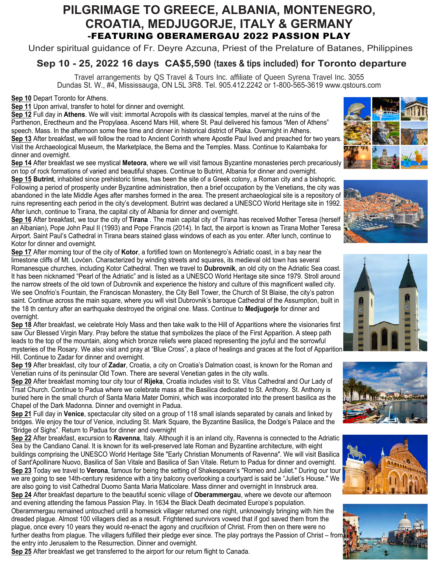# **PILGRIMAGE TO GREECE, ALBANIA, MONTENEGRO, CROATIA, MEDJUGORJE, ITALY & GERMANY** -FEATURING OBERAMERGAU 2022 PASSION PLAY

Under spiritual guidance of Fr. Deyre Azcuna, Priest of the Prelature of Batanes, Philippines

## **Sep 10 - 25, 2022 16 days CA\$5,590 (taxes & tips included) for Toronto departure**

Travel arrangements by QS Travel & Tours Inc. affiliate of Queen Syrena Travel Inc. 3055 Dundas St. W., #4, Mississauga, ON L5L 3R8. Tel. 905.412.2242 or 1-800-565-3619 www.qstours.com

**Sep 10** Depart Toronto for Athens.

**Sep 11** Upon arrival, transfer to hotel for dinner and overnight.

**Sep 12** Full day in **Athens**. We will visit: immortal Acropolis with its classical temples, marvel at the ruins of the Parthenon, Erectheum and the Propylaea. Ascend Mars Hill, where St. Paul delivered his famous "Men of Athens" speech. Mass. In the afternoon some free time and dinner in historical district of Plaka. Overnight in Athens. **Sep 13** After breakfast, we will follow the road to Ancient Corinth where Apostle Paul lived and preached for two years. Visit the Archaeological Museum, the Marketplace, the Bema and the Temples. Mass. Continue to Kalambaka for dinner and overnight.

**Sep 14** After breakfast we see mystical **Meteora**, where we will visit famous Byzantine monasteries perch precariously on top of rock formations of varied and beautiful shapes. Continue to Butrint, Albania for dinner and overnight.

**Sep 15 Butrint**, inhabited since prehistoric times, has been the site of a Greek colony, a Roman city and a bishopric. Following a period of prosperity under Byzantine administration, then a brief occupation by the Venetians, the city was abandoned in the late Middle Ages after marshes formed in the area. The present archaeological site is a repository of ruins representing each period in the city's development. Butrint was declared a UNESCO World Heritage site in 1992. After lunch, continue to Tirana, the capital city of Albania for dinner and overnight.

**Sep 16** After breakfast, we tour the city of **Tirana** . The main capital city of Tirana has received Mother Teresa (herself an Albanian), Pope John Paul II (1993) and Pope Francis (2014). In fact, the airport is known as Tirana Mother Teresa Airport. Saint Paul's Cathedral in Tirana bears stained glass windows of each as you enter. After lunch, continue to Kotor for dinner and overnight.

**Sep 17** After morning tour of the city of **Kotor**, a fortified town on Montenegro's Adriatic coast, in a bay near the limestone cliffs of Mt. Lovćen. Characterized by winding streets and squares, its medieval old town has several Romanesque churches, including Kotor Cathedral. Then we travel to **Dubrovnik**, an old city on the Adriatic Sea coast. It has been nicknamed "Pearl of the Adriatic" and is listed as a UNESCO World Heritage site since 1979. Stroll around the narrow streets of the old town of Dubrovnik and experience the history and culture of this magnificent walled city. We see Onofrio's Fountain, the Franciscan Monastery, the City Bell Tower, the Church of St Blaise, the city's patron saint. Continue across the main square, where you will visit Dubrovnik's baroque Cathedral of the Assumption, built in the 18 th century after an earthquake destroyed the original one. Mass. Continue to **Medjugorje** for dinner and overnight.

**Sep 18** After breakfast, we celebrate Holy Mass and then take walk to the Hill of Apparitions where the visionaries first saw Our Blessed Virgin Mary. Pray before the statue that symbolizes the place of the First Apparition. A steep path leads to the top of the mountain, along which bronze reliefs were placed representing the joyful and the sorrowful mysteries of the Rosary. We also visit and pray at "Blue Cross", a place of healings and graces at the foot of Apparition Hill. Continue to Zadar for dinner and overnight.

**Sep 19** After breakfast, city tour of **Zadar**, Croatia, a city on Croatia's Dalmation coast, is known for the Roman and Venetian ruins of its peninsular Old Town. There are several Venetian gates in the city walls.

**Sep 20** After breakfast morning tour city tour of **Rijeka**, Croatia includes visit to St. Vitus Cathedral and Our Lady of Trsat Church. Continue to Padua where we celebrate mass at the Basilica dedicated to St. Anthony. St. Anthony is buried here in the small church of Santa Maria Mater Domini, which was incorporated into the present basilica as the Chapel of the Dark Madonna. Dinner and overnight in Padua.

**Sep 21** Full day in **Venice**, spectacular city sited on a group of 118 small islands separated by canals and linked by bridges. We enjoy the tour of Venice, including St. Mark Square, the Byzantine Basilica, the Dodge's Palace and the "Bridge of Sighs". Return to Padua for dinner and overnight

**Sep 22** After breakfast, excursion to **Ravenna**, Italy. Although it is an inland city, Ravenna is connected to the Adriatic Sea by the Candiano Canal. It is known for its well-preserved late Roman and Byzantine architecture, with eight buildings comprising the UNESCO World Heritage Site "Early Christian Monuments of Ravenna". We will visit Basilica of Sant'Apollinare Nuovo, Basilica of San Vitale and Basilica of San Vitale. Return to Padua for dinner and overnight. **Sep 23** Today we travel to **Verona**, famous for being the setting of Shakespeare's "Romeo and Juliet." During our tour we are going to see 14th-century residence with a tiny balcony overlooking a courtyard is said be "Juliet's House." We are also going to visit Cathedral Duomo Santa Maria Maticolare. Mass dinner and overnight in Innsbruck area. **Sep 24** After breakfast departure to the beautiful scenic village of **Oberammergau**, where we devote our afternoon and evening attending the famous Passion Play. In 1634 the Black Death decimated Europe's population.

Oberammergau remained untouched until a homesick villager returned one night, unknowingly bringing with him the dreaded plague. Almost 100 villagers died as a result. Frightened survivors vowed that if god saved them from the plague, once every 10 years they would re-enact the agony and crucifixion of Christ. From then on there were no further deaths from plague. The villagers fulfilled their pledge ever since. The play portrays the Passion of Christ – from the entry into Jerusalem to the Resurrection. Dinner and overnight.

**Sep 25** After breakfast we get transferred to the airport for our return flight to Canada.